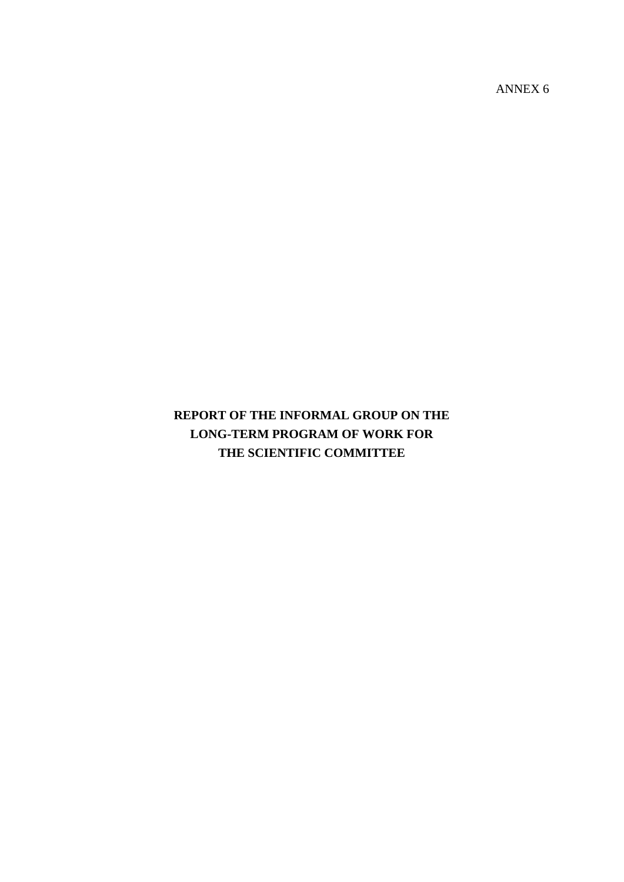ANNEX 6

# **REPORT OF THE INFORMAL GROUP ON THE LONG-TERM PROGRAM OF WORK FOR THE SCIENTIFIC COMMITTEE**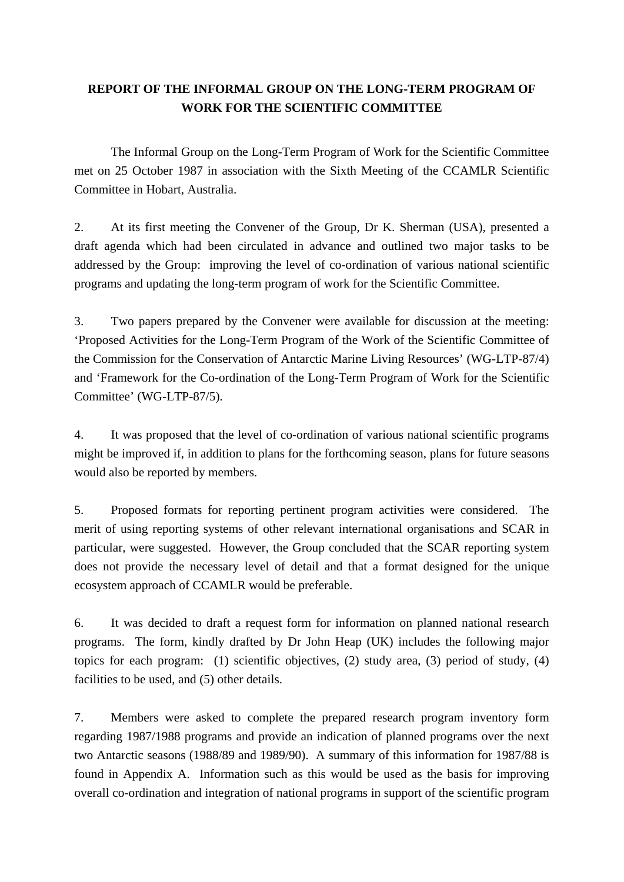## **REPORT OF THE INFORMAL GROUP ON THE LONG-TERM PROGRAM OF WORK FOR THE SCIENTIFIC COMMITTEE**

 The Informal Group on the Long-Term Program of Work for the Scientific Committee met on 25 October 1987 in association with the Sixth Meeting of the CCAMLR Scientific Committee in Hobart, Australia.

2. At its first meeting the Convener of the Group, Dr K. Sherman (USA), presented a draft agenda which had been circulated in advance and outlined two major tasks to be addressed by the Group: improving the level of co-ordination of various national scientific programs and updating the long-term program of work for the Scientific Committee.

3. Two papers prepared by the Convener were available for discussion at the meeting: 'Proposed Activities for the Long-Term Program of the Work of the Scientific Committee of the Commission for the Conservation of Antarctic Marine Living Resources' (WG-LTP-87/4) and 'Framework for the Co-ordination of the Long-Term Program of Work for the Scientific Committee' (WG-LTP-87/5).

4. It was proposed that the level of co-ordination of various national scientific programs might be improved if, in addition to plans for the forthcoming season, plans for future seasons would also be reported by members.

5. Proposed formats for reporting pertinent program activities were considered. The merit of using reporting systems of other relevant international organisations and SCAR in particular, were suggested. However, the Group concluded that the SCAR reporting system does not provide the necessary level of detail and that a format designed for the unique ecosystem approach of CCAMLR would be preferable.

6. It was decided to draft a request form for information on planned national research programs. The form, kindly drafted by Dr John Heap (UK) includes the following major topics for each program: (1) scientific objectives, (2) study area, (3) period of study, (4) facilities to be used, and (5) other details.

7. Members were asked to complete the prepared research program inventory form regarding 1987/1988 programs and provide an indication of planned programs over the next two Antarctic seasons (1988/89 and 1989/90). A summary of this information for 1987/88 is found in Appendix A. Information such as this would be used as the basis for improving overall co-ordination and integration of national programs in support of the scientific program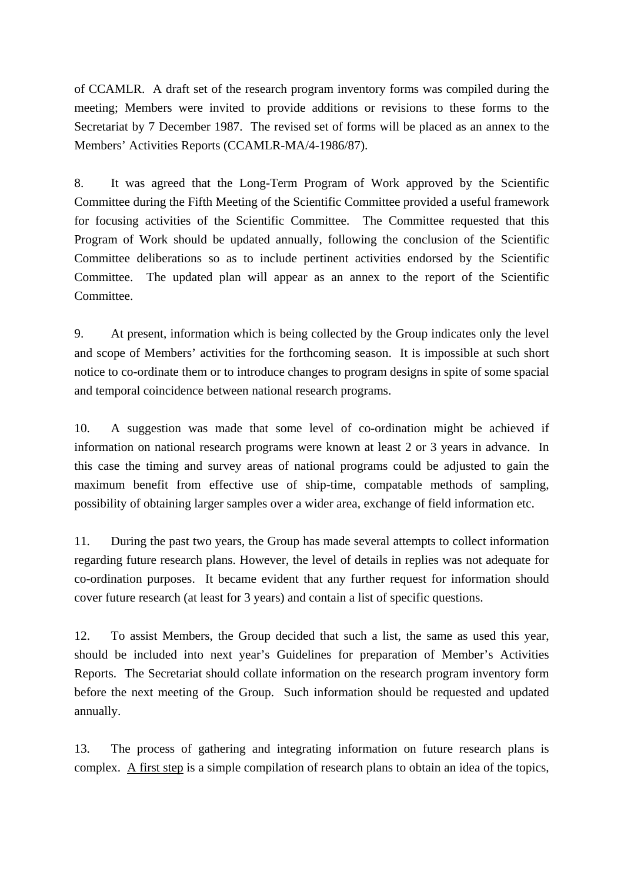of CCAMLR. A draft set of the research program inventory forms was compiled during the meeting; Members were invited to provide additions or revisions to these forms to the Secretariat by 7 December 1987. The revised set of forms will be placed as an annex to the Members' Activities Reports (CCAMLR-MA/4-1986/87).

8. It was agreed that the Long-Term Program of Work approved by the Scientific Committee during the Fifth Meeting of the Scientific Committee provided a useful framework for focusing activities of the Scientific Committee. The Committee requested that this Program of Work should be updated annually, following the conclusion of the Scientific Committee deliberations so as to include pertinent activities endorsed by the Scientific Committee. The updated plan will appear as an annex to the report of the Scientific Committee.

9. At present, information which is being collected by the Group indicates only the level and scope of Members' activities for the forthcoming season. It is impossible at such short notice to co-ordinate them or to introduce changes to program designs in spite of some spacial and temporal coincidence between national research programs.

10. A suggestion was made that some level of co-ordination might be achieved if information on national research programs were known at least 2 or 3 years in advance. In this case the timing and survey areas of national programs could be adjusted to gain the maximum benefit from effective use of ship-time, compatable methods of sampling, possibility of obtaining larger samples over a wider area, exchange of field information etc.

11. During the past two years, the Group has made several attempts to collect information regarding future research plans. However, the level of details in replies was not adequate for co-ordination purposes. It became evident that any further request for information should cover future research (at least for 3 years) and contain a list of specific questions.

12. To assist Members, the Group decided that such a list, the same as used this year, should be included into next year's Guidelines for preparation of Member's Activities Reports. The Secretariat should collate information on the research program inventory form before the next meeting of the Group. Such information should be requested and updated annually.

13. The process of gathering and integrating information on future research plans is complex. A first step is a simple compilation of research plans to obtain an idea of the topics,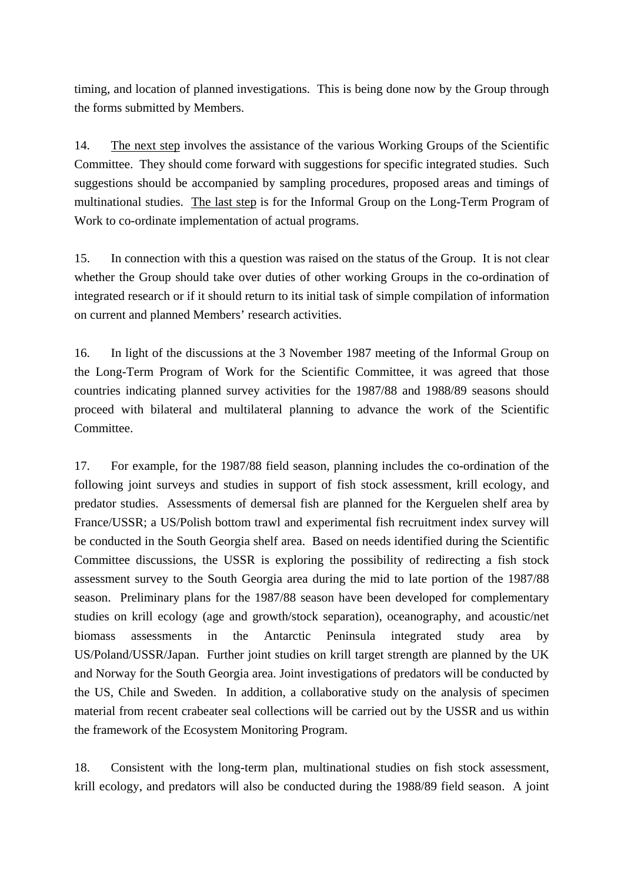timing, and location of planned investigations. This is being done now by the Group through the forms submitted by Members.

14. The next step involves the assistance of the various Working Groups of the Scientific Committee. They should come forward with suggestions for specific integrated studies. Such suggestions should be accompanied by sampling procedures, proposed areas and timings of multinational studies. The last step is for the Informal Group on the Long-Term Program of Work to co-ordinate implementation of actual programs.

15. In connection with this a question was raised on the status of the Group. It is not clear whether the Group should take over duties of other working Groups in the co-ordination of integrated research or if it should return to its initial task of simple compilation of information on current and planned Members' research activities.

16. In light of the discussions at the 3 November 1987 meeting of the Informal Group on the Long-Term Program of Work for the Scientific Committee, it was agreed that those countries indicating planned survey activities for the 1987/88 and 1988/89 seasons should proceed with bilateral and multilateral planning to advance the work of the Scientific Committee.

17. For example, for the 1987/88 field season, planning includes the co-ordination of the following joint surveys and studies in support of fish stock assessment, krill ecology, and predator studies. Assessments of demersal fish are planned for the Kerguelen shelf area by France/USSR; a US/Polish bottom trawl and experimental fish recruitment index survey will be conducted in the South Georgia shelf area. Based on needs identified during the Scientific Committee discussions, the USSR is exploring the possibility of redirecting a fish stock assessment survey to the South Georgia area during the mid to late portion of the 1987/88 season. Preliminary plans for the 1987/88 season have been developed for complementary studies on krill ecology (age and growth/stock separation), oceanography, and acoustic/net biomass assessments in the Antarctic Peninsula integrated study area by US/Poland/USSR/Japan. Further joint studies on krill target strength are planned by the UK and Norway for the South Georgia area. Joint investigations of predators will be conducted by the US, Chile and Sweden. In addition, a collaborative study on the analysis of specimen material from recent crabeater seal collections will be carried out by the USSR and us within the framework of the Ecosystem Monitoring Program.

18. Consistent with the long-term plan, multinational studies on fish stock assessment, krill ecology, and predators will also be conducted during the 1988/89 field season. A joint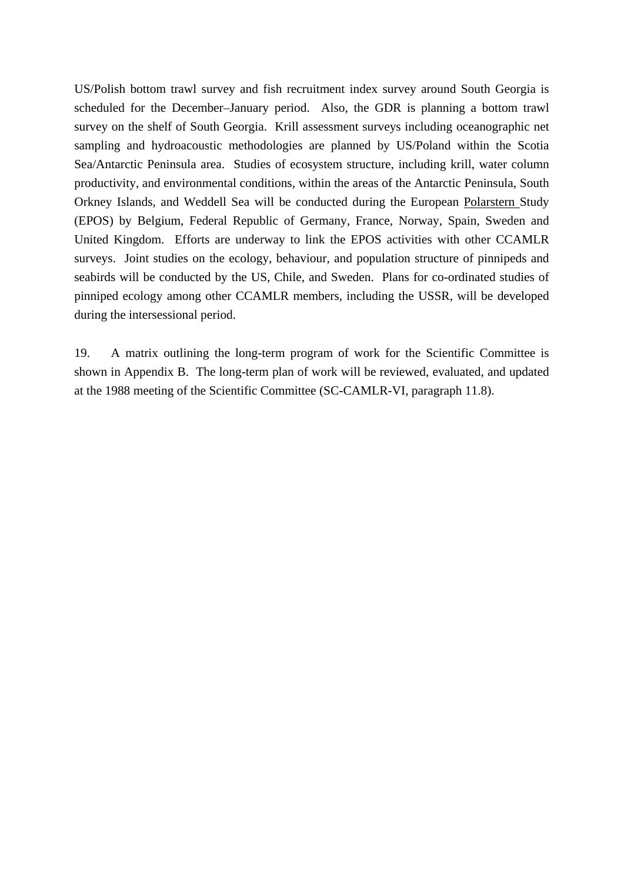US/Polish bottom trawl survey and fish recruitment index survey around South Georgia is scheduled for the December–January period. Also, the GDR is planning a bottom trawl survey on the shelf of South Georgia. Krill assessment surveys including oceanographic net sampling and hydroacoustic methodologies are planned by US/Poland within the Scotia Sea/Antarctic Peninsula area. Studies of ecosystem structure, including krill, water column productivity, and environmental conditions, within the areas of the Antarctic Peninsula, South Orkney Islands, and Weddell Sea will be conducted during the European Polarstern Study (EPOS) by Belgium, Federal Republic of Germany, France, Norway, Spain, Sweden and United Kingdom. Efforts are underway to link the EPOS activities with other CCAMLR surveys. Joint studies on the ecology, behaviour, and population structure of pinnipeds and seabirds will be conducted by the US, Chile, and Sweden. Plans for co-ordinated studies of pinniped ecology among other CCAMLR members, including the USSR, will be developed during the intersessional period.

19. A matrix outlining the long-term program of work for the Scientific Committee is shown in Appendix B. The long-term plan of work will be reviewed, evaluated, and updated at the 1988 meeting of the Scientific Committee (SC-CAMLR-VI, paragraph 11.8).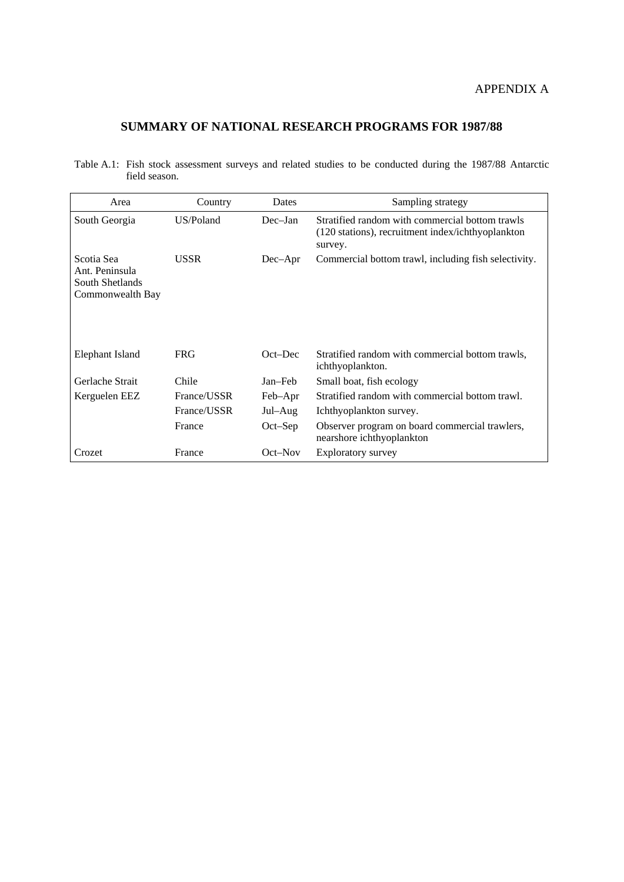#### APPENDIX A

### **SUMMARY OF NATIONAL RESEARCH PROGRAMS FOR 1987/88**

Table A.1: Fish stock assessment surveys and related studies to be conducted during the 1987/88 Antarctic field season.

| Area                                                                | Country     | Dates      | Sampling strategy                                                                                               |
|---------------------------------------------------------------------|-------------|------------|-----------------------------------------------------------------------------------------------------------------|
| South Georgia                                                       | US/Poland   | $Dec-Ian$  | Stratified random with commercial bottom trawls<br>(120 stations), recruitment index/ichthyoplankton<br>survey. |
| Scotia Sea<br>Ant. Peninsula<br>South Shetlands<br>Commonwealth Bay | <b>USSR</b> | $Dec-Apr$  | Commercial bottom trawl, including fish selectivity.                                                            |
| Elephant Island                                                     | <b>FRG</b>  | $Oct$ -Dec | Stratified random with commercial bottom trawls,<br>ichthyoplankton.                                            |
| Gerlache Strait                                                     | Chile       | Jan–Feb    | Small boat, fish ecology                                                                                        |
| Kerguelen EEZ                                                       | France/USSR | Feb-Apr    | Stratified random with commercial bottom trawl.                                                                 |
|                                                                     | France/USSR | Jul-Aug    | Ichthyoplankton survey.                                                                                         |
|                                                                     | France      | $Oct-Sep$  | Observer program on board commercial trawlers,<br>nearshore ichthyoplankton                                     |
| Crozet                                                              | France      | $Oct$ -Nov | Exploratory survey                                                                                              |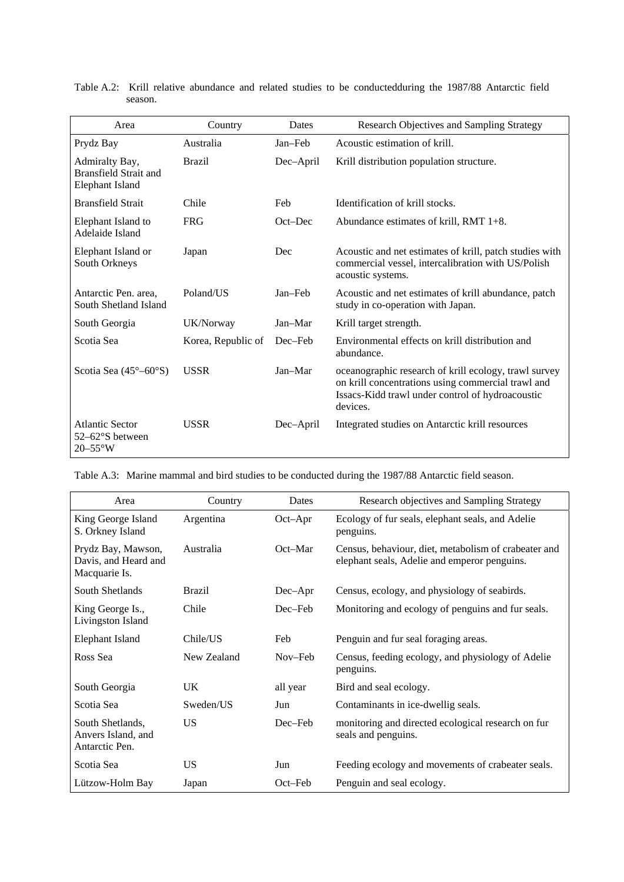| Area                                                                     | Country            | Dates      | Research Objectives and Sampling Strategy                                                                                                                                   |
|--------------------------------------------------------------------------|--------------------|------------|-----------------------------------------------------------------------------------------------------------------------------------------------------------------------------|
| Prydz Bay                                                                | Australia          | Jan-Feb    | Acoustic estimation of krill.                                                                                                                                               |
| Admiralty Bay,<br><b>Bransfield Strait and</b><br><b>Elephant Island</b> | <b>Brazil</b>      | Dec-April  | Krill distribution population structure.                                                                                                                                    |
| <b>Bransfield Strait</b>                                                 | Chile              | Feb        | Identification of krill stocks.                                                                                                                                             |
| Elephant Island to<br>Adelaide Island                                    | <b>FRG</b>         | $Oct$ -Dec | Abundance estimates of krill, RMT $1+8$ .                                                                                                                                   |
| Elephant Island or<br>South Orkneys                                      | Japan              | Dec        | Acoustic and net estimates of krill, patch studies with<br>commercial vessel, intercalibration with US/Polish<br>acoustic systems.                                          |
| Antarctic Pen. area.<br>South Shetland Island                            | Poland/US          | Jan-Feb    | Acoustic and net estimates of krill abundance, patch<br>study in co-operation with Japan.                                                                                   |
| South Georgia                                                            | UK/Norway          | Jan-Mar    | Krill target strength.                                                                                                                                                      |
| Scotia Sea                                                               | Korea, Republic of | Dec–Feb    | Environmental effects on krill distribution and<br>abundance.                                                                                                               |
| Scotia Sea $(45^{\circ} - 60^{\circ}S)$                                  | <b>USSR</b>        | Jan-Mar    | oceanographic research of krill ecology, trawl survey<br>on krill concentrations using commercial trawl and<br>Issacs-Kidd trawl under control of hydroacoustic<br>devices. |
| <b>Atlantic Sector</b><br>$52-62^{\circ}S$ between<br>$20-55^{\circ}$ W  | <b>USSR</b>        | Dec-April  | Integrated studies on Antarctic krill resources                                                                                                                             |

Table A.2: Krill relative abundance and related studies to be conductedduring the 1987/88 Antarctic field season.

Table A.3: Marine mammal and bird studies to be conducted during the 1987/88 Antarctic field season.

| Area                                                        | Country       | Dates      | Research objectives and Sampling Strategy                                                            |
|-------------------------------------------------------------|---------------|------------|------------------------------------------------------------------------------------------------------|
| King George Island<br>S. Orkney Island                      | Argentina     | $Oct$ -Apr | Ecology of fur seals, elephant seals, and Adelie<br>penguins.                                        |
| Prydz Bay, Mawson,<br>Davis, and Heard and<br>Macquarie Is. | Australia     | Oct–Mar    | Census, behaviour, diet, metabolism of crabeater and<br>elephant seals, Adelie and emperor penguins. |
| South Shetlands                                             | <b>Brazil</b> | $Dec-Apr$  | Census, ecology, and physiology of seabirds.                                                         |
| King George Is.,<br>Livingston Island                       | Chile         | Dec-Feb    | Monitoring and ecology of penguins and fur seals.                                                    |
| Elephant Island                                             | Chile/US      | Feb        | Penguin and fur seal foraging areas.                                                                 |
| Ross Sea                                                    | New Zealand   | Nov–Feb    | Census, feeding ecology, and physiology of Adelie<br>penguins.                                       |
| South Georgia                                               | <b>UK</b>     | all year   | Bird and seal ecology.                                                                               |
| Scotia Sea                                                  | Sweden/US     | Jun        | Contaminants in ice-dwellig seals.                                                                   |
| South Shetlands,<br>Anvers Island, and<br>Antarctic Pen.    | <b>US</b>     | Dec-Feb    | monitoring and directed ecological research on fur<br>seals and penguins.                            |
| Scotia Sea                                                  | <b>US</b>     | Jun        | Feeding ecology and movements of crabeater seals.                                                    |
| Lützow-Holm Bay                                             | Japan         | Oct–Feb    | Penguin and seal ecology.                                                                            |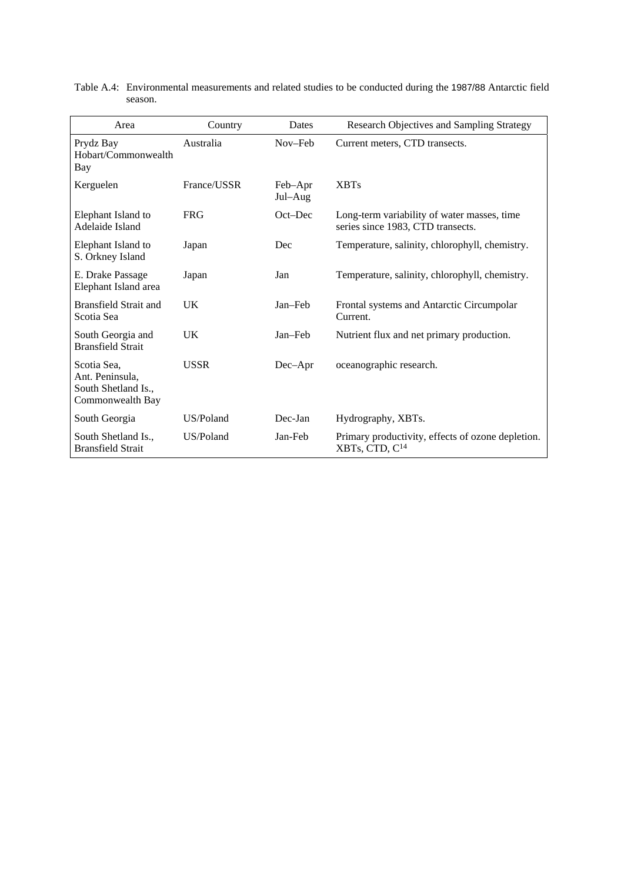| Area                                                                      | Country     | Dates              | Research Objectives and Sampling Strategy                                        |
|---------------------------------------------------------------------------|-------------|--------------------|----------------------------------------------------------------------------------|
| Prydz Bay<br>Hobart/Commonwealth<br>Bay                                   | Australia   | Nov-Feb            | Current meters, CTD transects.                                                   |
| Kerguelen                                                                 | France/USSR | Feb-Apr<br>Jul–Aug | <b>XBTs</b>                                                                      |
| Elephant Island to<br>Adelaide Island                                     | <b>FRG</b>  | $Oct$ -Dec         | Long-term variability of water masses, time<br>series since 1983, CTD transects. |
| Elephant Island to<br>S. Orkney Island                                    | Japan       | Dec                | Temperature, salinity, chlorophyll, chemistry.                                   |
| E. Drake Passage<br>Elephant Island area                                  | Japan       | Jan                | Temperature, salinity, chlorophyll, chemistry.                                   |
| <b>Bransfield Strait and</b><br>Scotia Sea                                | UK          | Jan-Feb            | Frontal systems and Antarctic Circumpolar<br>Current.                            |
| South Georgia and<br><b>Bransfield Strait</b>                             | UK          | Jan-Feb            | Nutrient flux and net primary production.                                        |
| Scotia Sea,<br>Ant. Peninsula.<br>South Shetland Is.,<br>Commonwealth Bay | <b>USSR</b> | Dec-Apr            | oceanographic research.                                                          |
| South Georgia                                                             | US/Poland   | Dec-Jan            | Hydrography, XBTs.                                                               |
| South Shetland Is.,<br><b>Bransfield Strait</b>                           | US/Poland   | Jan-Feb            | Primary productivity, effects of ozone depletion.<br>XBTs, CTD, C <sup>14</sup>  |

| Table A.4: Environmental measurements and related studies to be conducted during the 1987/88 Antarctic field |
|--------------------------------------------------------------------------------------------------------------|
| season.                                                                                                      |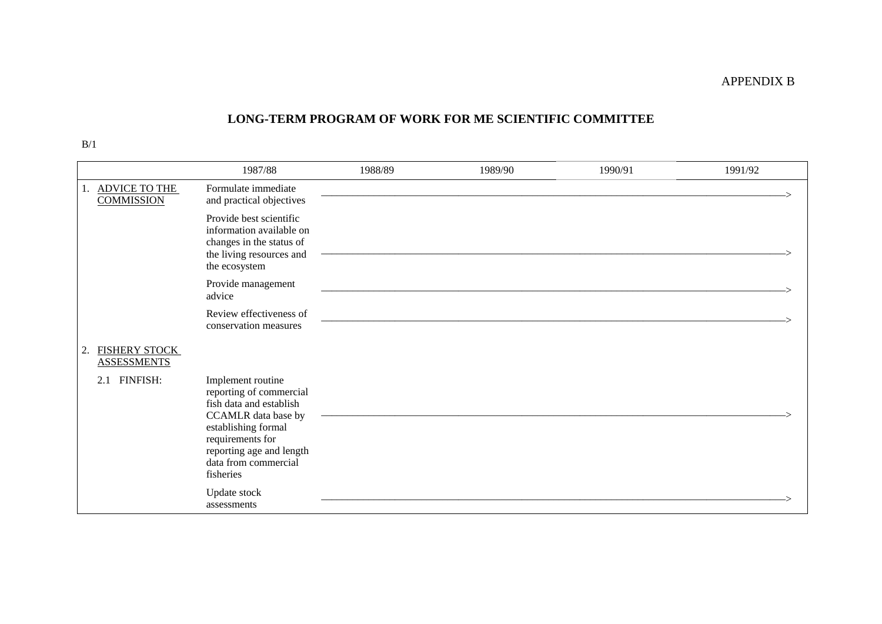#### **LONG-TERM PROGRAM OF WORK FOR ME SCIENTIFIC COMMITTEE**

|                                           | 1987/88                                                                                                                                                                                                    | 1988/89 | 1989/90 | 1990/91 | 1991/92 |
|-------------------------------------------|------------------------------------------------------------------------------------------------------------------------------------------------------------------------------------------------------------|---------|---------|---------|---------|
| 1. ADVICE TO THE<br><b>COMMISSION</b>     | Formulate immediate<br>and practical objectives                                                                                                                                                            |         |         |         |         |
|                                           | Provide best scientific<br>information available on<br>changes in the status of<br>the living resources and<br>the ecosystem                                                                               |         |         |         |         |
|                                           | Provide management<br>advice                                                                                                                                                                               |         |         |         |         |
|                                           | Review effectiveness of<br>conservation measures                                                                                                                                                           |         |         |         |         |
| FISHERY STOCK<br>2.<br><b>ASSESSMENTS</b> |                                                                                                                                                                                                            |         |         |         |         |
| FINFISH:<br>2.1                           | Implement routine<br>reporting of commercial<br>fish data and establish<br>CCAMLR data base by<br>establishing formal<br>requirements for<br>reporting age and length<br>data from commercial<br>fisheries |         |         |         |         |
|                                           | Update stock<br>assessments                                                                                                                                                                                |         |         |         |         |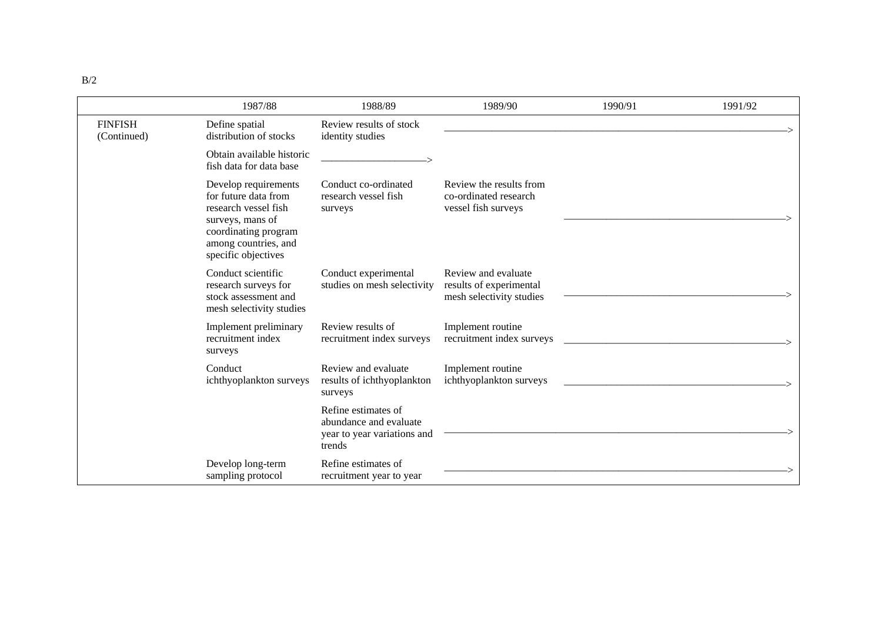|                               | 1987/88                                                                                                                                                         | 1988/89                                                                                | 1989/90                                                                    | 1990/91 | 1991/92 |
|-------------------------------|-----------------------------------------------------------------------------------------------------------------------------------------------------------------|----------------------------------------------------------------------------------------|----------------------------------------------------------------------------|---------|---------|
| <b>FINFISH</b><br>(Continued) | Define spatial<br>distribution of stocks                                                                                                                        | Review results of stock<br>identity studies                                            |                                                                            |         |         |
|                               | Obtain available historic<br>fish data for data base                                                                                                            |                                                                                        |                                                                            |         |         |
|                               | Develop requirements<br>for future data from<br>research vessel fish<br>surveys, mans of<br>coordinating program<br>among countries, and<br>specific objectives | Conduct co-ordinated<br>research vessel fish<br>surveys                                | Review the results from<br>co-ordinated research<br>vessel fish surveys    |         |         |
|                               | Conduct scientific<br>research surveys for<br>stock assessment and<br>mesh selectivity studies                                                                  | Conduct experimental<br>studies on mesh selectivity                                    | Review and evaluate<br>results of experimental<br>mesh selectivity studies |         |         |
|                               | Implement preliminary<br>recruitment index<br>surveys                                                                                                           | Review results of<br>recruitment index surveys                                         | Implement routine<br>recruitment index surveys                             |         |         |
|                               | Conduct<br>ichthyoplankton surveys                                                                                                                              | Review and evaluate<br>results of ichthyoplankton<br>surveys                           | Implement routine<br>ichthyoplankton surveys                               |         |         |
|                               |                                                                                                                                                                 | Refine estimates of<br>abundance and evaluate<br>year to year variations and<br>trends |                                                                            |         |         |
|                               | Develop long-term<br>sampling protocol                                                                                                                          | Refine estimates of<br>recruitment year to year                                        |                                                                            |         |         |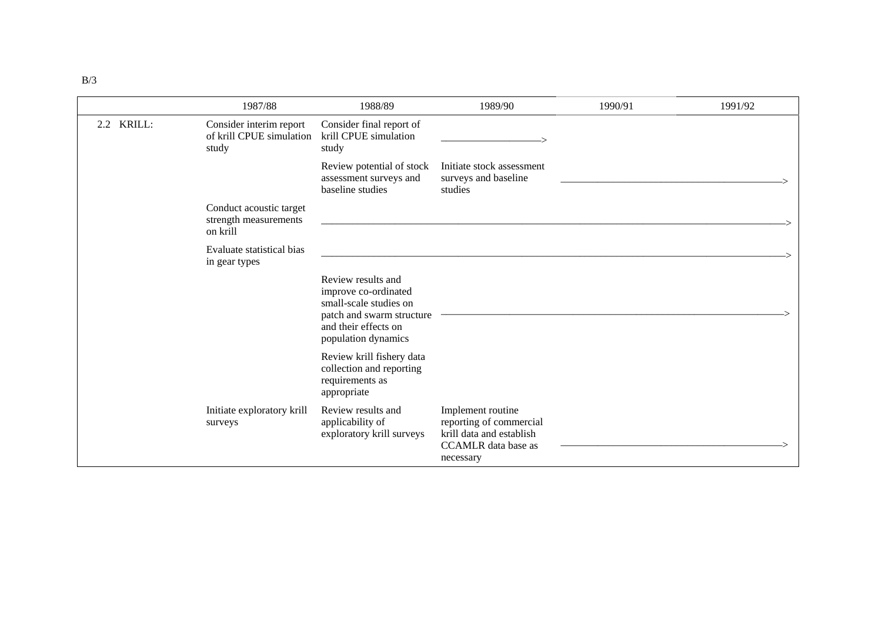|            | 1987/88                                                      | 1988/89                                                                                                                                          | 1989/90                                                                                                             | 1990/91 | 1991/92 |
|------------|--------------------------------------------------------------|--------------------------------------------------------------------------------------------------------------------------------------------------|---------------------------------------------------------------------------------------------------------------------|---------|---------|
| 2.2 KRILL: | Consider interim report<br>of krill CPUE simulation<br>study | Consider final report of<br>krill CPUE simulation<br>study                                                                                       |                                                                                                                     |         |         |
|            |                                                              | Review potential of stock<br>assessment surveys and<br>baseline studies                                                                          | Initiate stock assessment<br>surveys and baseline<br>studies                                                        |         |         |
|            | Conduct acoustic target<br>strength measurements<br>on krill |                                                                                                                                                  |                                                                                                                     |         |         |
|            | Evaluate statistical bias<br>in gear types                   |                                                                                                                                                  |                                                                                                                     |         |         |
|            |                                                              | Review results and<br>improve co-ordinated<br>small-scale studies on<br>patch and swarm structure<br>and their effects on<br>population dynamics |                                                                                                                     |         |         |
|            |                                                              | Review krill fishery data<br>collection and reporting<br>requirements as<br>appropriate                                                          |                                                                                                                     |         |         |
|            | Initiate exploratory krill<br>surveys                        | Review results and<br>applicability of<br>exploratory krill surveys                                                                              | Implement routine<br>reporting of commercial<br>krill data and establish<br><b>CCAMLR</b> data base as<br>necessary |         |         |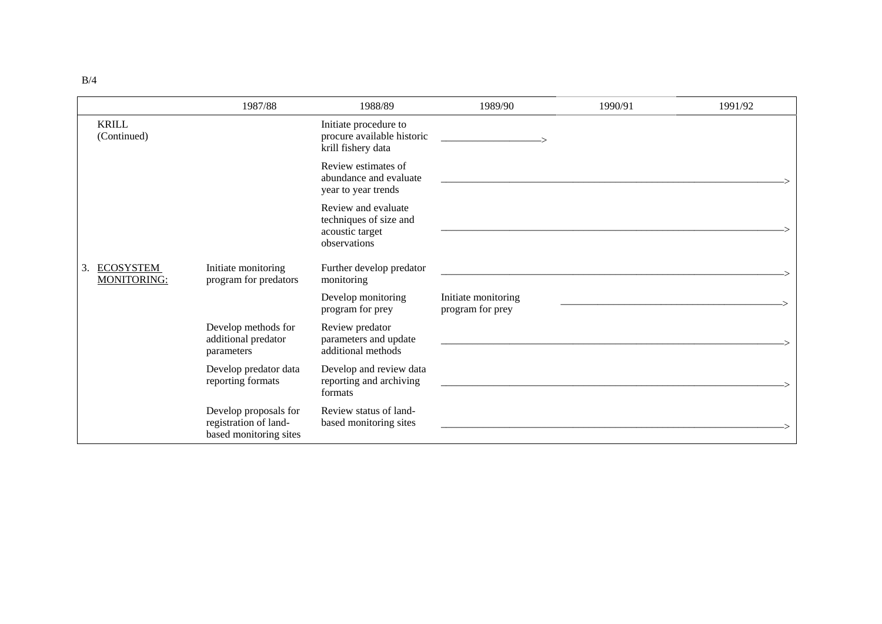|    |                                 | 1987/88                                                                  | 1988/89                                                                          | 1989/90                                 | 1990/91 | 1991/92 |
|----|---------------------------------|--------------------------------------------------------------------------|----------------------------------------------------------------------------------|-----------------------------------------|---------|---------|
|    | <b>KRILL</b><br>(Continued)     |                                                                          | Initiate procedure to<br>procure available historic<br>krill fishery data        |                                         |         |         |
|    |                                 |                                                                          | Review estimates of<br>abundance and evaluate<br>year to year trends             |                                         |         |         |
|    |                                 |                                                                          | Review and evaluate<br>techniques of size and<br>acoustic target<br>observations |                                         |         |         |
| 3. | <b>ECOSYSTEM</b><br>MONITORING: | Initiate monitoring<br>program for predators                             | Further develop predator<br>monitoring                                           |                                         |         |         |
|    |                                 |                                                                          | Develop monitoring<br>program for prey                                           | Initiate monitoring<br>program for prey |         |         |
|    |                                 | Develop methods for<br>additional predator<br>parameters                 | Review predator<br>parameters and update<br>additional methods                   |                                         |         |         |
|    |                                 | Develop predator data<br>reporting formats                               | Develop and review data<br>reporting and archiving<br>formats                    |                                         |         |         |
|    |                                 | Develop proposals for<br>registration of land-<br>based monitoring sites | Review status of land-<br>based monitoring sites                                 |                                         |         |         |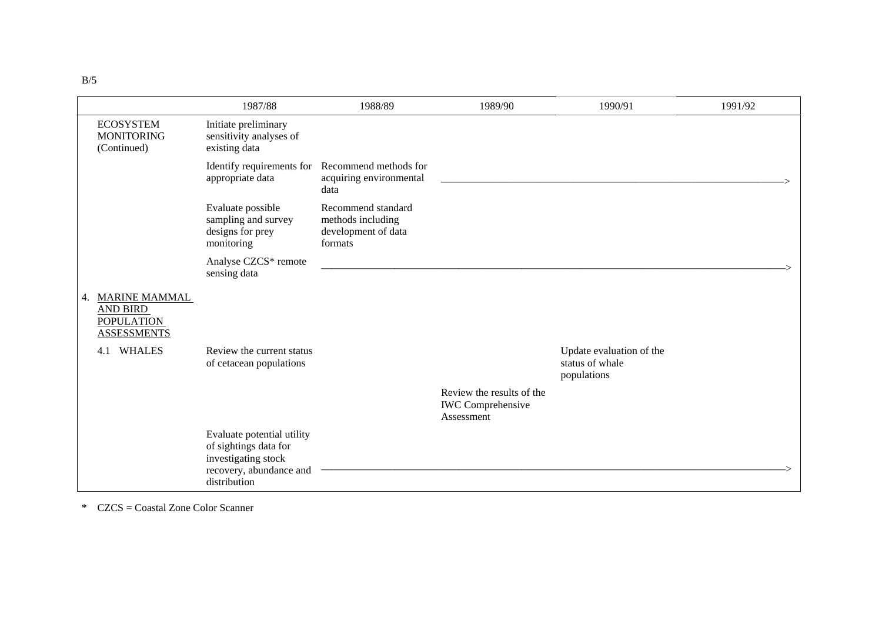|                                                                                | 1987/88                                                                                                               | 1988/89                                                                            | 1989/90                                                             | 1990/91                                                    | 1991/92 |
|--------------------------------------------------------------------------------|-----------------------------------------------------------------------------------------------------------------------|------------------------------------------------------------------------------------|---------------------------------------------------------------------|------------------------------------------------------------|---------|
| <b>ECOSYSTEM</b><br><b>MONITORING</b><br>(Continued)                           | Initiate preliminary<br>sensitivity analyses of<br>existing data                                                      |                                                                                    |                                                                     |                                                            |         |
|                                                                                | appropriate data                                                                                                      | Identify requirements for Recommend methods for<br>acquiring environmental<br>data |                                                                     |                                                            |         |
|                                                                                | Evaluate possible<br>sampling and survey<br>designs for prey<br>monitoring                                            | Recommend standard<br>methods including<br>development of data<br>formats          |                                                                     |                                                            |         |
|                                                                                | Analyse CZCS* remote<br>sensing data                                                                                  |                                                                                    |                                                                     |                                                            |         |
| 4. MARINE MAMMAL<br><b>AND BIRD</b><br><b>POPULATION</b><br><b>ASSESSMENTS</b> |                                                                                                                       |                                                                                    |                                                                     |                                                            |         |
| <b>WHALES</b><br>4.1                                                           | Review the current status<br>of cetacean populations                                                                  |                                                                                    |                                                                     | Update evaluation of the<br>status of whale<br>populations |         |
|                                                                                |                                                                                                                       |                                                                                    | Review the results of the<br><b>IWC</b> Comprehensive<br>Assessment |                                                            |         |
|                                                                                | Evaluate potential utility<br>of sightings data for<br>investigating stock<br>recovery, abundance and<br>distribution |                                                                                    |                                                                     |                                                            |         |

\* CZCS = Coastal Zone Color Scanner